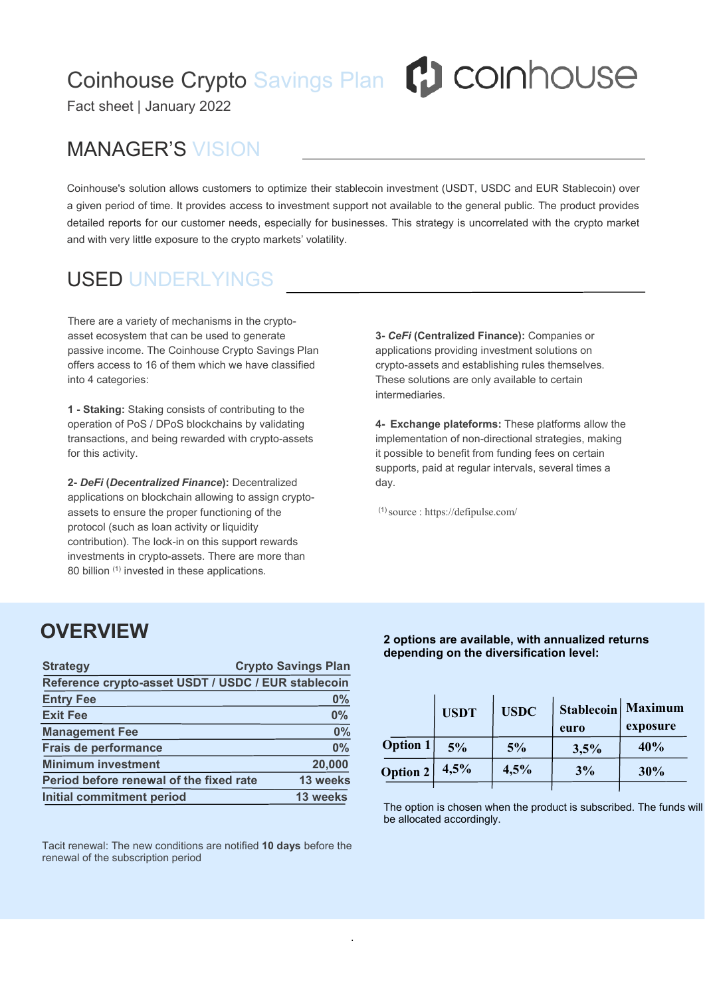# Coinhouse Crypto Savings Plan **(1)** COINNOUSE

Fact sheet | January 2022

### MANAGER'S VISION

Coinhouse's solution allows customers to optimize their stablecoin investment (USDT, USDC and EUR Stablecoin) over a given period of time. It provides access to investment support not available to the general public. The product provides detailed reports for our customer needs, especially for businesses. This strategy is uncorrelated with the crypto market and with very little exposure to the crypto markets' volatility.

## USED UNDERLYINGS

There are a variety of mechanisms in the cryptoasset ecosystem that can be used to generate passive income. The Coinhouse Crypto Savings Plan offers access to 16 of them which we have classified into 4 categories:

**1 - Staking:** Staking consists of contributing to the operation of PoS / DPoS blockchains by validating transactions, and being rewarded with crypto-assets for this activity.

**2-** *DeFi* **(***Decentralized Finance***):** Decentralized applications on blockchain allowing to assign cryptoassets to ensure the proper functioning of the protocol (such as loan activity or liquidity contribution). The lock-in on this support rewards investments in crypto-assets. There are more than 80 billion (1) invested in these applications.

**3-** *CeFi* **(Centralized Finance):** Companies or applications providing investment solutions on crypto-assets and establishing rules themselves. These solutions are only available to certain intermediaries.

**4- Exchange plateforms:** These platforms allow the implementation of non-directional strategies, making it possible to benefit from funding fees on certain supports, paid at regular intervals, several times a day.

 $(1)$  source : https://defipulse.com/

.

#### **OVERVIEW**

| <b>Strategy</b>                                     | <b>Crypto Savings Plan</b> |                 |                                                                                                                 |             |
|-----------------------------------------------------|----------------------------|-----------------|-----------------------------------------------------------------------------------------------------------------|-------------|
| Reference crypto-asset USDT / USDC / EUR stablecoin |                            |                 |                                                                                                                 |             |
| <b>Entry Fee</b>                                    | 0%                         |                 | <b>USDT</b><br>5%                                                                                               | <b>USDC</b> |
| <b>Exit Fee</b>                                     | 0%                         |                 |                                                                                                                 |             |
| <b>Management Fee</b>                               | 0%                         |                 |                                                                                                                 |             |
| Frais de performance                                | 0%                         | <b>Option 1</b> |                                                                                                                 | 5%          |
| <b>Minimum investment</b>                           | 20,000                     | Option 2        | 4,5%                                                                                                            | 4,5%        |
| Period before renewal of the fixed rate             | 13 weeks                   |                 |                                                                                                                 |             |
| <b>Initial commitment period</b>                    | 13 weeks                   |                 | the contract of the contract of the contract of the contract of the contract of the contract of the contract of |             |

Tacit renewal: The new conditions are notified **10 days** before the renewal of the subscription period

**2 options are available, with annualized returns depending on the diversification level:**

|          | <b>USDT</b> | <b>USDC</b> | euro | Stablecoin   Maximum<br>exposure |
|----------|-------------|-------------|------|----------------------------------|
| Option 1 | 5%          | 5%          | 3,5% | 40%                              |
| Option 2 | 4,5%        | 4,5%        | 3%   | 30%                              |
|          |             |             |      |                                  |

The option is chosen when the product is subscribed. The funds will be allocated accordingly.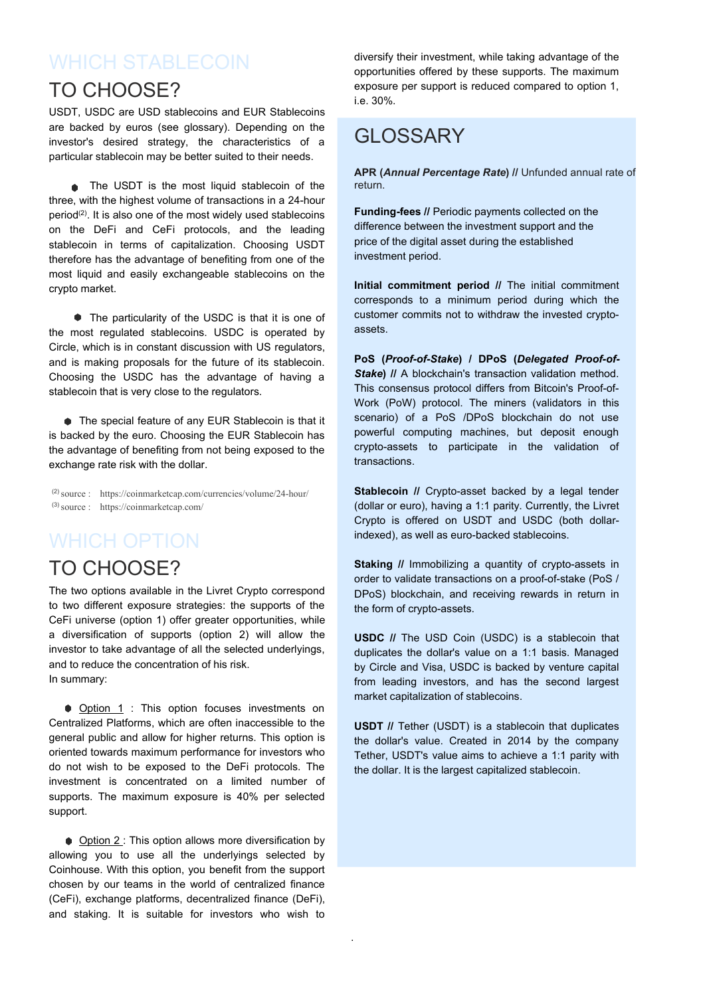## WHICH STABI FCOIN

#### TO CHOOSE?

USDT, USDC are USD stablecoins and EUR Stablecoins are backed by euros (see glossary). Depending on the investor's desired strategy, the characteristics of a particular stablecoin may be better suited to their needs.

• The USDT is the most liquid stablecoin of the three, with the highest volume of transactions in a 24-hour period<sup>(2)</sup>. It is also one of the most widely used stablecoins **Funding-tees** on the DeFi and CeFi protocols, and the leading stablecoin in terms of capitalization. Choosing USDT therefore has the advantage of benefiting from one of the most liquid and easily exchangeable stablecoins on the crypto market.

The particularity of the USDC is that it is one of the most regulated stablecoins. USDC is operated by Circle, which is in constant discussion with US regulators, and is making proposals for the future of its stablecoin. Choosing the USDC has the advantage of having a stablecoin that is very close to the regulators.

● The special feature of any EUR Stablecoin is that it is backed by the euro. Choosing the EUR Stablecoin has the advantage of benefiting from not being exposed to the exchange rate risk with the dollar.

(2)source : https://coinmarketcap.com/currencies/volume/24-hour/ (3)source : https://coinmarketcap.com/

### WHICH OPTION

#### TO CHOOSE?

The two options available in the Livret Crypto correspond to two different exposure strategies: the supports of the CeFi universe (option 1) offer greater opportunities, while a diversification of supports (option 2) will allow the investor to take advantage of all the selected underlyings, and to reduce the concentration of his risk. In summary:

● Option 1 : This option focuses investments on Centralized Platforms, which are often inaccessible to the general public and allow for higher returns.This option is oriented towards maximum performance for investors who do not wish to be exposed to the DeFi protocols. The investment is concentrated on a limited number of supports. The maximum exposure is 40% per selected support.

● Option 2 : This option allows more diversification by allowing you to use all the underlyings selected by Coinhouse. With this option, you benefit from the support chosen by our teams in the world of centralized finance (CeFi), exchange platforms, decentralized finance (DeFi), and staking. It is suitable for investors who wish to

diversify their investment, while taking advantage of the opportunities offered by these supports. The maximum exposure per support is reduced compared to option 1, i.e. 30%.

#### GLOSSARY

**APR (***Annual Percentage Rate***) //** Unfunded annual rate of return.

**Funding-fees //** Periodic payments collected on the difference between the investment support and the price of the digital asset during the established investment period.

**Initial commitment period //** The initial commitment corresponds to a minimum period during which the customer commits not to withdraw the invested crypto assets.

**PoS (***Proof-of-Stake***) / DPoS (***Delegated Proof-of- Stake* // A blockchain's transaction validation method. This consensus protocol differs from Bitcoin's Proof-of- Work (PoW) protocol. The miners (validators in this scenario) of a PoS /DPoS blockchain do not use powerful computing machines, but deposit enough crypto-assets to participate in the validation of transactions.

**Stablecoin** *//* Crypto-asset backed by a legal tender (dollar or euro), having a 1:1 parity. Currently, the Livret Crypto is offered on USDT and USDC (both dollarindexed), as well as euro-backed stablecoins.

**Staking //** Immobilizing a quantity of crypto-assets in order to validate transactions on a proof-of-stake (PoS / DPoS) blockchain, and receiving rewards in return in the form of crypto-assets.

**USDC //** The USD Coin (USDC) is a stablecoin that duplicates the dollar's value on a 1:1 basis. Managed by Circle and Visa, USDC is backed by venture capital from leading investors, and has the second largest market capitalization of stablecoins.

**USDT //** Tether (USDT) is a stablecoin that duplicates the dollar's value. Created in 2014 by the company Tether, USDT's value aims to achieve a 1:1 parity with the dollar. It is the largest capitalized stablecoin.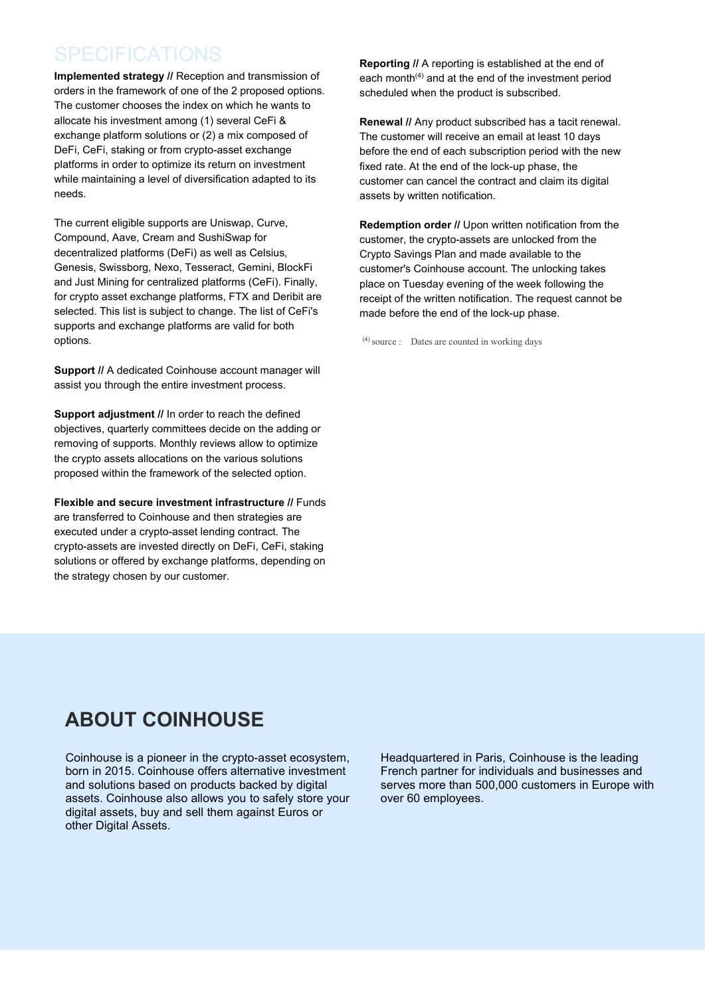#### **SPECIFICATIONS**

**Implemented strategy //** Reception and transmission of orders in the framework of one of the 2 proposed options. The customer chooses the index on which he wants to allocate his investment among (1) several CeFi & exchange platform solutions or (2) a mix composed of DeFi, CeFi, staking or from crypto-asset exchange platforms in order to optimize its return on investment while maintaining a level of diversification adapted to its needs.

The current eligible supports are Uniswap, Curve, Compound, Aave, Cream and SushiSwap for decentralized platforms (DeFi) as well as Celsius, Genesis, Swissborg, Nexo, Tesseract, Gemini, BlockFi and Just Mining for centralized platforms (CeFi). Finally, for crypto asset exchange platforms, FTX and Deribit are selected. This list is subject to change. The list of CeFi's supports and exchange platforms are valid for both options.

**Support // A dedicated Coinhouse account manager will** assist you through the entire investment process.

**Support adjustment //** In order to reach the defined objectives, quarterly committees decide on the adding or removing of supports. Monthly reviews allow to optimize the crypto assets allocations on the various solutions proposed within the framework of the selected option.

**Flexible and secure investment infrastructure //** Funds are transferred to Coinhouse and then strategies are executed under a crypto-asset lending contract. The crypto-assets are invested directly on DeFi, CeFi, staking solutions or offered by exchange platforms, depending on the strategy chosen by our customer.

**Reporting** *//* A reporting is established at the end of each month (4) and at the end of the investment period scheduled when the product is subscribed.

**Renewal //** Any product subscribed has a tacit renewal. The customer will receive an email at least 10 days before the end of each subscription period with the new fixed rate. At the end of the lock-up phase, the customer can cancel the contract and claim its digital assets by written notification.

**Redemption order //** Upon written notification from the customer, the crypto-assets are unlocked from the Crypto Savings Plan and made available to the customer's Coinhouse account. The unlocking takes place on Tuesday evening of the week following the receipt of the written notification. The request cannot be made before the end of the lock-up phase.

 $(4)$  source : Dates are counted in working days

Coinhouse is a pioneer in the crypto-asset ecosystem, born in 2015. Coinhouse offers alternative investment and solutions based on products backed by digital assets. Coinhouse also allows you to safely store your digital assets, buy and sell them against Euros or Coinhouse is a pioneer in the crypto-asset ecosystem, Headquartered in Paris, Coinhouse is the leading<br>born in 2015. Coinhouse offers alternative investment French partner for individuals and businesses and<br>and solutions b **ABOUT COINHOUSE**<br>
Coinhouse is a pioneer in the crypto-asset ecosystem, Headquartered in Paris, Coinho<br>
born in 2015. Coinhouse offers alternative investment French partner for individuals a<br>
and solutions based on produc

French partner for individuals and businesses and serves more than 500,000 customers in Europe with